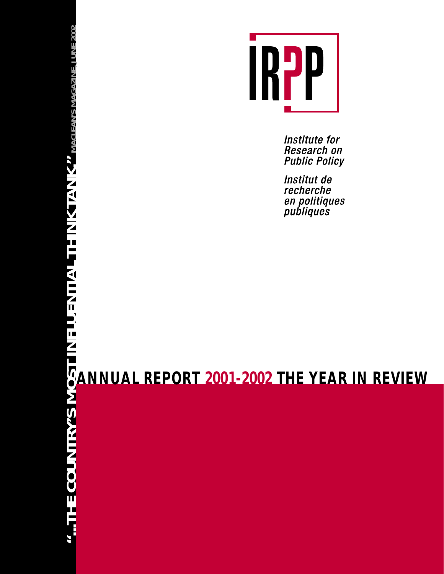

Institute for Research on **Public Policy** 

Institut de recherche en politiques<br>publiques

**ANNUAL REPORT 2001-2002 THE YEAR IN REVIEW**

Ш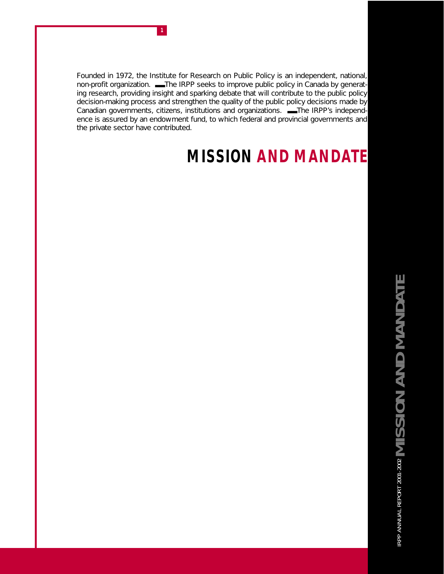Founded in 1972, the Institute for Research on Public Policy is an independent, national, non-profit organization. ■ The IRPP seeks to improve public policy in Canada by generating research, providing insight and sparking debate that will contribute to the public policy decision-making process and strengthen the quality of the public policy decisions made by Canadian governments, citizens, institutions and organizations. -The IRPP's independence is assured by an endowment fund, to which federal and provincial governments and the private sector have contributed.

# **MISSION AND MANDATE**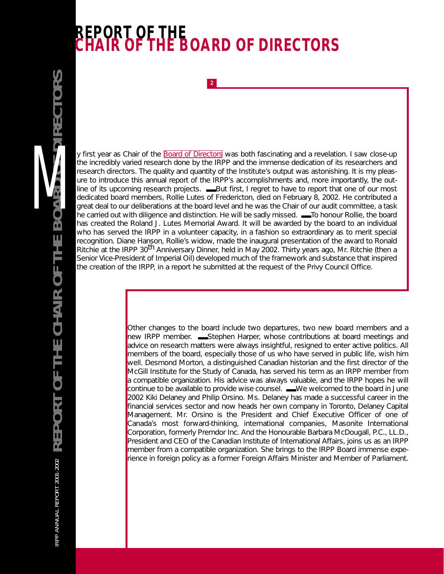# **REPORT OF THE CHAIR OF THE BOARD OF DIRECTORS**

**2**

y first year as Chair of the [Board of Directors](http://www.irpp.org/about/index.htm) was both fascinating and a revelation. I saw close-up the incredibly varied research done by the IRPP and the immense dedication of its researchers and research directors. The quality and quantity of the Institute's output was astonishing. It is my pleasure to introduce this annual report of the IRPP's accomplishments and, more importantly, the outline of its upcoming research projects. ——But first, I regret to have to report that one of our most dedicated board members, Rollie Lutes of Fredericton, died on February 8, 2002. He contributed a great deal to our deliberations at the board level and he was the Chair of our audit committee, a task he carried out with diligence and distinction. He will be sadly missed.  $\blacksquare$ To honour Rollie, the board has created the Roland J. Lutes Memorial Award. It will be awarded by the board to an individual who has served the IRPP in a volunteer capacity, in a fashion so extraordinary as to merit special recognition. Diane Hanson, Rollie's widow, made the inaugural presentation of the award to Ronald Ritchie at the IRPP 30<sup>th</sup> Anniversary Dinner, held in May 2002. Thirty years ago, Mr. Ritchie (then a Senior Vice-President of Imperial Oil) developed much of the framework and substance that inspired the creation of the IRPP, in a report he submitted at the request of the Privy Council Office.

> Other changes to the board include two departures, two new board members and a new IRPP member. — Stephen Harper, whose contributions at board meetings and advice on research matters were always insightful, resigned to enter active politics. All members of the board, especially those of us who have served in public life, wish him well. Desmond Morton, a distinguished Canadian historian and the first director of the McGill Institute for the Study of Canada, has served his term as an IRPP member from a compatible organization. His advice was always valuable, and the IRPP hopes he will continue to be available to provide wise counsel. ——We welcomed to the board in June 2002 Kiki Delaney and Philip Orsino. Ms. Delaney has made a successful career in the financial services sector and now heads her own company in Toronto, Delaney Capital Management. Mr. Orsino is the President and Chief Executive Officer of one of Canada's most forward-thinking, international companies, Masonite International Corporation, formerly Premdor Inc. And the Honourable Barbara McDougall, P.C., LL.D., President and CEO of the Canadian Institute of International Affairs, joins us as an IRPP member from a compatible organization. She brings to the IRPP Board immense experience in foreign policy as a former Foreign Affairs Minister and Member of Parliament.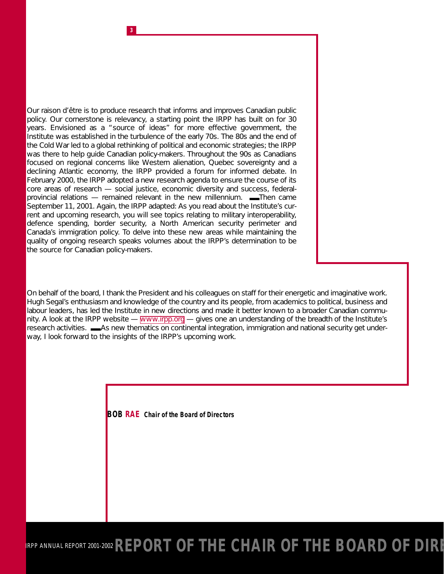Our *raison d'être* is to produce research that informs and improves Canadian public policy. Our cornerstone is relevancy, a starting point the IRPP has built on for 30 years. Envisioned as a "source of ideas" for more effective government, the Institute was established in the turbulence of the early 70s. The 80s and the end of the Cold War led to a global rethinking of political and economic strategies; the IRPP was there to help guide Canadian policy-makers. Throughout the 90s as Canadians focused on regional concerns like Western alienation, Quebec sovereignty and a declining Atlantic economy, the IRPP provided a forum for informed debate. In February 2000, the IRPP adopted a new research agenda to ensure the course of its core areas of research — social justice, economic diversity and success, federalprovincial relations — remained relevant in the new millennium.  $\blacksquare$ Then came September 11, 2001. Again, the IRPP adapted: As you read about the Institute's current and upcoming research, you will see topics relating to military interoperability, defence spending, border security, a North American security perimeter and Canada's immigration policy. To delve into these new areas while maintaining the quality of ongoing research speaks volumes about the IRPP's determination to be *the* source for Canadian policy-makers.

**3**

On behalf of the board, I thank the President and his colleagues on staff for their energetic and imaginative work. Hugh Segal's enthusiasm and knowledge of the country and its people, from academics to political, business and labour leaders, has led the Institute in new directions and made it better known to a broader Canadian community. A look at the IRPP website — [www.irpp.org](http://www.irpp.org) — gives one an understanding of the breadth of the Institute's research activities.  $\blacksquare$ As new thematics on continental integration, immigration and national security get underway, I look forward to the insights of the IRPP's upcoming work.

**BOB RAE** *Chair of the Board of Directors*

IRPP ANNUAL REPORT 2001-2002 **REPORT OF THE CHAIR OF THE BOARD OF DIRI**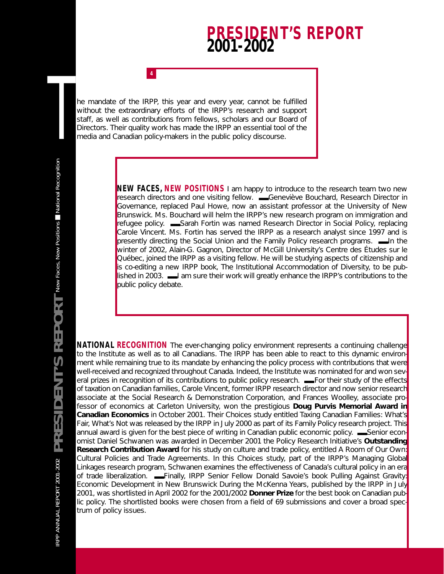## **PRESIDENT'S REPORT 2001-2002**

he mandate of the IRPP, this year and every year, cannot be fulfilled without the extraordinary efforts of the IRPP's research and support staff, as well as contributions from fellows, scholars and our Board of 1<br>
Directors are mandate of the IRPP, this year and every year, cannot be fulfilled<br>
without the extraordinary efforts of the IRPP's research and support<br>
staff, as well as contributions from fellows, scholars and our Boar

**4**

**NEW FACES, NEW POSITIONS** I am happy to introduce to the research team two new research directors and one visiting fellow. ■■■■■Geneviève Bouchard, Research Director in Governance, replaced Paul Howe, now an assistant professor at the University of New Brunswick. Ms. Bouchard will helm the IRPP's new research program on immigration and refugee policy. ■■■■■Sarah Fortin was named Research Director in Social Policy, replacing Carole Vincent. Ms. Fortin has served the IRPP as a research analyst since 1997 and is presently directing the *Social Union* and the *Family Policy* research programs. — In the winter of 2002, Alain-G. Gagnon, Director of McGill University's Centre des Études sur le Québec, joined the IRPP as a visiting fellow. He will be studying aspects of citizenship and is co-editing a new IRPP book, *The Institutional Accommodation of Diversity,* to be published in 2003.  $\blacksquare$  am sure their work will greatly enhance the IRPP's contributions to the public policy debate.

**NATIONAL RECOGNITION** The ever-changing policy environment represents a continuing challenge to the Institute as well as to all Canadians. The IRPP has been able to react to this dynamic environment while remaining true to its mandate by enhancing the policy process with contributions that were well-received and recognized throughout Canada. Indeed, the Institute was nominated for and won several prizes in recognition of its contributions to public policy research. ——For their study of the effects of taxation on Canadian families, Carole Vincent, former IRPP research director and now senior research associate at the Social Research & Demonstration Corporation, and Frances Woolley, associate professor of economics at Carleton University, won the prestigious **Doug Purvis Memorial Award in Canadian Economics** in October 2001. Their *Choices* study entitled *Taxing Canadian Families: What's Fair, What's Not* was released by the IRPP in July 2000 as part of its *Family Policy* research project. This annual award is given for the best piece of writing in Canadian public economic policy. — Senior economist Daniel Schwanen was awarded in December 2001 the Policy Research Initiative's **Outstanding Research Contribution Award** for his study on culture and trade policy, entitled *A Room of Our Own: Cultural Policies and Trade Agreements*. In this *Choices* study, part of the IRPP's *Managing Global Linkages* research program, Schwanen examines the effectiveness of Canada's cultural policy in an era of trade liberalization. ■■■■■Finally, IRPP Senior Fellow Donald Savoie's book *Pulling Against Gravity: Economic Development in New Brunswick During the McKenna Years,* published by the IRPP in July 2001, was shortlisted in April 2002 for the 2001/2002 **Donner Prize** for the best book on Canadian public policy. The shortlisted books were chosen from a field of 69 submissions and cover a broad spectrum of policy issues.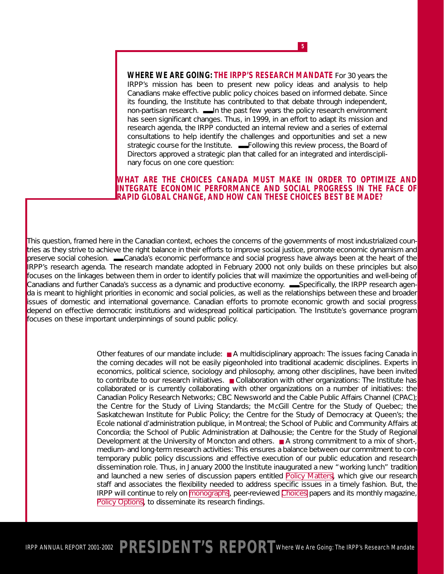**WHERE WE ARE GOING: THE IRPP'S RESEARCH MANDATE** For 30 years the IRPP's mission has been to present new policy ideas and analysis to help Canadians make effective public policy choices based on informed debate. Since its founding, the Institute has contributed to that debate through independent, non-partisan research. In the past few years the policy research environment has seen significant changes. Thus, in 1999, in an effort to adapt its mission and research agenda, the IRPP conducted an internal review and a series of external consultations to help identify the challenges and opportunities and set a new strategic course for the Institute.  $\blacksquare$ Following this review process, the Board of Directors approved a strategic plan that called for an integrated and interdisciplinary focus on one core question:

**5**

*WHAT ARE THE CHOICES CANADA MUST MAKE IN ORDER TO OPTIMIZE AND INTEGRATE ECONOMIC PERFORMANCE AND SOCIAL PROGRESS IN THE FACE OF RAPID GLOBAL CHANGE, AND HOW CAN THESE CHOICES BEST BE MADE?*

This question, framed here in the Canadian context, echoes the concerns of the governments of most industrialized countries as they strive to achieve the right balance in their efforts to improve social justice, promote economic dynamism and preserve social cohesion.  $\blacksquare$ Canada's economic performance and social progress have always been at the heart of the IRPP's research agenda. The research mandate adopted in February 2000 not only builds on these principles but also focuses on the linkages between them in order to identify policies that will maximize the opportunities and well-being of Canadians and further Canada's success as a dynamic and productive economy.  $\blacksquare$ Specifically, the IRPP research agenda is meant to highlight priorities in economic and social policies, as well as the relationships between these and broader issues of domestic and international governance. Canadian efforts to promote economic growth and social progress depend on effective democratic institutions and widespread political participation. The Institute's governance program focuses on these important underpinnings of sound public policy.

> Other features of our mandate include: ■ A multidisciplinary approach: The issues facing Canada in the coming decades will not be easily pigeonholed into traditional academic disciplines. Experts in economics, political science, sociology and philosophy, among other disciplines, have been invited to contribute to our research initiatives. ■ Collaboration with other organizations: The Institute has collaborated or is currently collaborating with other organizations on a number of initiatives: the Canadian Policy Research Networks; CBC Newsworld and the Cable Public Affairs Channel (CPAC); the Centre for the Study of Living Standards; the McGill Centre for the Study of Quebec; the Saskatchewan Institute for Public Policy; the Centre for the Study of Democracy at Queen's; the Ecole national d'administration publique, in Montreal; the School of Public and Community Affairs at Concordia; the School of Public Administration at Dalhousie; the Centre for the Study of Regional Development at the University of Moncton and others. ■ A strong commitment to a mix of short-, medium- and long-term research activities: This ensures a balance between our commitment to contemporary public policy discussions and effective execution of our public education and research dissemination role. Thus, in January 2000 the Institute inaugurated a new "working lunch" tradition and launched a new series of discussion papers entitled *[Policy Matters](http://www.irpp.org/pm/index.htm)*, which give our research staff and associates the flexibility needed to address specific issues in a timely fashion. But, the IRPP will continue to rely on [monographs](http://www.irpp.org/books/index.htm), peer-reviewed *[Choices](http://www.irpp.org/choices/index.htm)* papers and its monthly magazine, **[Policy Options](http://www.irpp.org/po/index.htm)**, to disseminate its research findings.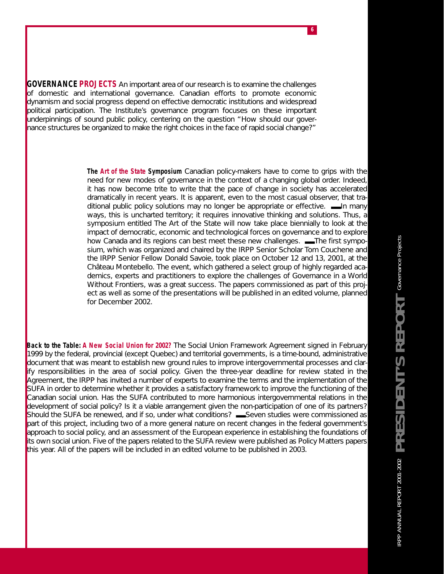**GOVERNANCE PROJECTS** An important area of our research is to examine the challenges of domestic and international governance. Canadian efforts to promote economic dynamism and social progress depend on effective democratic institutions and widespread political participation. The Institute's governance program focuses on these important underpinnings of sound public policy, centering on the question "How should our governance structures be organized to make the right choices in the face of rapid social change?"

> *The Art of the State Symposium* Canadian policy-makers have to come to grips with the need for new modes of governance in the context of a changing global order. Indeed, it has now become trite to write that the pace of change in society has accelerated dramatically in recent years. It is apparent, even to the most casual observer, that traditional public policy solutions may no longer be appropriate or effective.  $\blacksquare$ In many ways, this is uncharted territory; it requires innovative thinking and solutions. Thus, a symposium entitled *The Art of the State* will now take place biennially to look at the impact of democratic, economic and technological forces on governance and to explore how Canada and its regions can best meet these new challenges.  $\blacksquare$ The first symposium, which was organized and chaired by the IRPP Senior Scholar Tom Couchene and the IRPP Senior Fellow Donald Savoie, took place on October 12 and 13, 2001, at the Château Montebello. The event, which gathered a select group of highly regarded academics, experts and practitioners to explore the challenges of *Governance in a World Without Frontiers,* was a great success. The papers commissioned as part of this project as well as some of the presentations will be published in an edited volume, planned for December 2002.

**6**

**Back to the Table: A New Social Union for 2002?** The Social Union Framework Agreement signed in February 1999 by the federal, provincial (except Quebec) and territorial governments, is a time-bound, administrative document that was meant to establish new ground rules to improve intergovernmental processes and clarify responsibilities in the area of social policy. Given the three-year deadline for review stated in the Agreement, the IRPP has invited a number of experts to examine the terms and the implementation of the SUFA in order to determine whether it provides a satisfactory framework to improve the functioning of the Canadian social union. Has the SUFA contributed to more harmonious intergovernmental relations in the development of social policy? Is it a viable arrangement given the non-participation of one of its partners? Should the SUFA be renewed, and if so, under what conditions? ——Seven studies were commissioned as part of this project, including two of a more general nature on recent changes in the federal government's approach to social policy, and an assessment of the European experience in establishing the foundations of its own social union. Five of the papers related to the SUFA review were published as *Policy Matters* papers this year. All of the papers will be included in an edited volume to be published in 2003.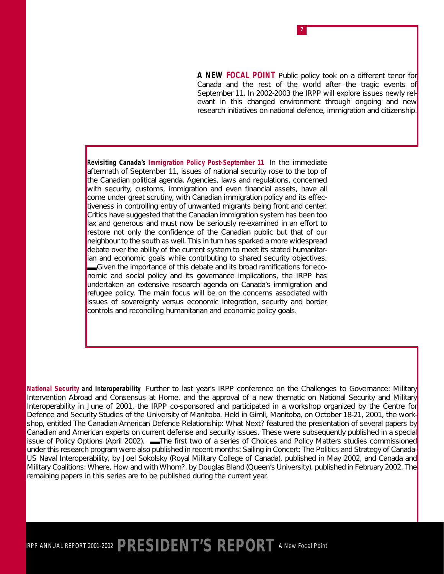**A NEW FOCAL POINT** Public policy took on a different tenor for Canada and the rest of the world after the tragic events of September 11. In 2002-2003 the IRPP will explore issues newly relevant in this changed environment through ongoing and new research initiatives on national defence, immigration and citizenship.

**7**

*Revisiting Canada's Immigration Policy Post-September 11* In the immediate aftermath of September 11, issues of national security rose to the top of the Canadian political agenda. Agencies, laws and regulations, concerned with security, customs, immigration and even financial assets, have all come under great scrutiny, with Canadian immigration policy and its effectiveness in controlling entry of unwanted migrants being front and center. Critics have suggested that the Canadian immigration system has been too lax and generous and must now be seriously re-examined in an effort to restore not only the confidence of the Canadian public but that of our neighbour to the south as well. This in turn has sparked a more widespread debate over the ability of the current system to meet its stated humanitarian and economic goals while contributing to shared security objectives. Given the importance of this debate and its broad ramifications for economic and social policy and its governance implications, the IRPP has undertaken an extensive research agenda on Canada's immigration and refugee policy. The main focus will be on the concerns associated with issues of sovereignty versus economic integration, security and border controls and reconciling humanitarian and economic policy goals.

*National Security and Interoperability* Further to last year's IRPP conference on the *Challenges to Governance: Military Intervention Abroad and Consensus at Home*, and the approval of a new thematic on National Security and Military Interoperability in June of 2001, the IRPP co-sponsored and participated in a workshop organized by the Centre for Defence and Security Studies of the University of Manitoba. Held in Gimli, Manitoba, on October 18-21, 2001, the workshop, entitled *The Canadian-American Defence Relationship: What Next?* featured the presentation of several papers by Canadian and American experts on current defense and security issues. These were subsequently published in a special issue of *Policy Options* (April 2002). **■**The first two of a series of *Choices* and *Policy Matters* studies commissioned under this research program were also published in recent months: *Sailing in Concert: The Politics and Strategy of Canada-US Naval Interoperability*, by Joel Sokolsky (Royal Military College of Canada), published in May 2002, and *Canada and Military Coalitions: Where, How and with Whom?,* by Douglas Bland (Queen's University), published in February 2002. The remaining papers in this series are to be published during the current year.

## IRPP ANNUAL REPORT 2001-2002 **PRESIDENT'S REPORT** *A New Focal Point*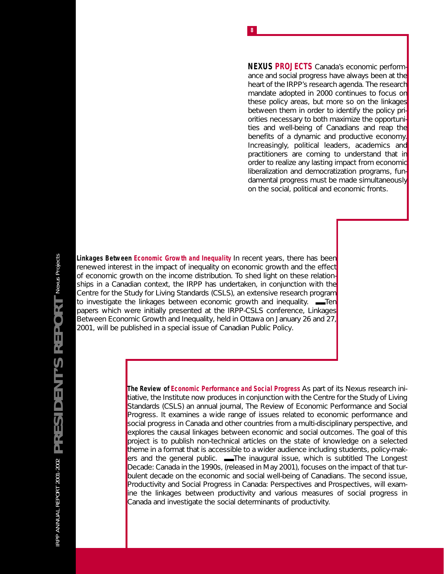**NEXUS PROJECTS** Canada's economic performance and social progress have always been at the heart of the IRPP's research agenda. The research mandate adopted in 2000 continues to focus on these policy areas, but more so on the linkages between them in order to identify the policy priorities necessary to both maximize the opportunities and well-being of Canadians *and* reap the benefits of a dynamic and productive economy. Increasingly, political leaders, academics and practitioners are coming to understand that in order to realize any lasting impact from economic liberalization and democratization programs, fundamental progress must be made simultaneously on the social, political and economic fronts.

IRPP ANNUAL REPORT 2001-2002  $PRESE$  IDENT'S REPORT Nexus Projects IRPP ANNUAL REPORT 2001-2002 **PRESIDENT'S REPORT** *Nexus Projects*

**Linkages Between Economic Growth and Inequality** In recent years, there has been renewed interest in the impact of inequality on economic growth and the effect of economic growth on the income distribution. To shed light on these relationships in a Canadian context, the IRPP has undertaken, in conjunction with the Centre for the Study for Living Standards (CSLS), an extensive research program to investigate the linkages between economic growth and inequality. ■■Ten papers which were initially presented at the IRPP-CSLS conference, *Linkages Between Economic Growth and Inequality*, held in Ottawa on January 26 and 27, 2001, will be published in a special issue of *Canadian Public Policy*.

> **The Review of Economic Performance and Social Progress** As part of its Nexus research initiative, the Institute now produces in conjunction with the Centre for the Study of Living Standards (CSLS) an annual journal, *The Review of Economic Performance and Social Progress*. It examines a wide range of issues related to economic performance and social progress in Canada and other countries from a multi-disciplinary perspective, and explores the causal linkages between economic and social outcomes. The goal of this project is to publish non-technical articles on the state of knowledge on a selected theme in a format that is accessible to a wider audience including students, policy-makers and the general public. **■■**The inaugural issue, which is subtitled *The Longest Decade: Canada in the 1990*s, (released in May 2001), focuses on the impact of that turbulent decade on the economic and social well-being of Canadians. The second issue, *Productivity and Social Progress in Canada: Perspectives and Prospectives*, will examine the linkages between productivity and various measures of social progress in Canada and investigate the social determinants of productivity.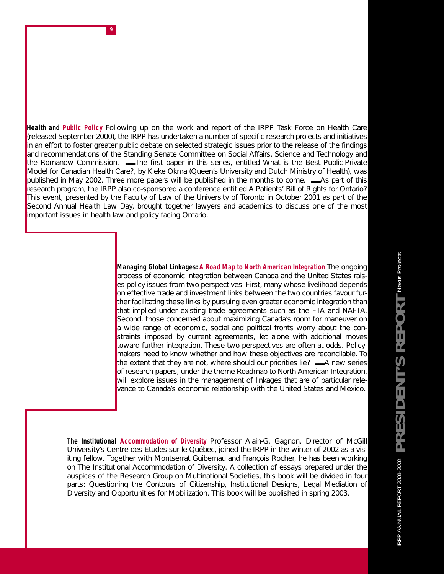*Health and Public Policy* Following up on the work and report of the IRPP Task Force on Health Care (released September 2000), the IRPP has undertaken a number of specific research projects and initiatives in an effort to foster greater public debate on selected strategic issues prior to the release of the findings and recommendations of the Standing Senate Committee on Social Affairs, Science and Technology and the Romanow Commission. ■■■■■The first paper in this series, entitled *What is the Best Public-Private Model for Canadian Health Care?*, by Kieke Okma (Queen's University and Dutch Ministry of Health), was published in May 2002. Three more papers will be published in the months to come. ■ As part of this research program, the IRPP also co-sponsored a conference entitled *A Patients' Bill of Rights for Ontario?* This event, presented by the Faculty of Law of the University of Toronto in October 2001 as part of the Second Annual Health Law Day, brought together lawyers and academics to discuss one of the most important issues in health law and policy facing Ontario.

**9**

*Managing Global Linkages: A Road Map to North American Integration* The ongoing process of economic integration between Canada and the United States raises policy issues from two perspectives. First, many whose livelihood depends on effective trade and investment links between the two countries favour further facilitating these links by pursuing even greater economic integration than that implied under existing trade agreements such as the FTA and NAFTA. Second, those concerned about maximizing Canada's room for maneuver on a wide range of economic, social and political fronts worry about the constraints imposed by current agreements, let alone with additional moves toward further integration. These two perspectives are often at odds. Policymakers need to know whether and how these objectives are reconcilable. To the extent that they are not, where should our priorities lie?  $\Box A$  new series of research papers, under the theme *Roadmap to North American Integration*, will explore issues in the management of linkages that are of particular relevance to Canada's economic relationship with the United States and Mexico.

*The Institutional Accommodation of Diversity* Professor Alain-G. Gagnon, Director of McGill University's *Centre des Études sur le Québec*, joined the IRPP in the winter of 2002 as a visiting fellow. Together with Montserrat Guibernau and François Rocher, he has been working on *The Institutional Accommodation of Diversity*. A collection of essays prepared under the auspices of the Research Group on Multinational Societies, this book will be divided in four parts: Questioning the Contours of Citizenship, Institutional Designs, Legal Mediation of Diversity and Opportunities for Mobilization. This book will be published in spring 2003.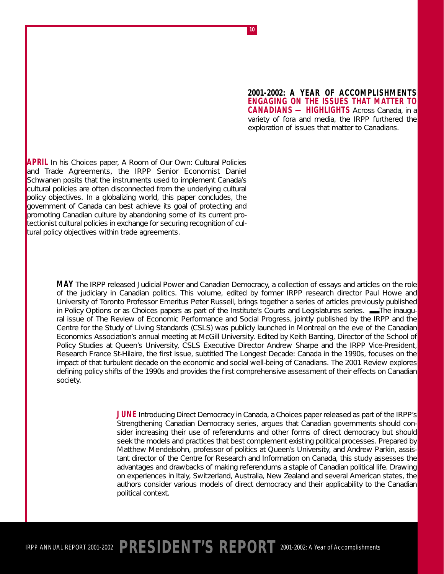**2001-2002: A YEAR OF ACCOMPLISHMENTS ENGAGING ON THE ISSUES THAT MATTER TO CANADIANS — HIGHLIGHTS** Across Canada, in a variety of fora and media, the IRPP furthered the exploration of issues that matter to Canadians.

**APRIL** In his *Choices* paper, *A Room of Our Own: Cultural Policies and Trade Agreements*, the IRPP Senior Economist Daniel Schwanen posits that the instruments used to implement Canada's cultural policies are often disconnected from the underlying cultural policy objectives. In a globalizing world, this paper concludes, the government of Canada can best achieve its goal of protecting and promoting Canadian culture by abandoning some of its current protectionist cultural policies in exchange for securing recognition of cultural policy objectives within trade agreements.

> **MAY** The IRPP released *Judicial Power and Canadian Democrac*y, a collection of essays and articles on the role of the judiciary in Canadian politics. This volume, edited by former IRPP research director Paul Howe and University of Toronto Professor Emeritus Peter Russell, brings together a series of articles previously published in *Policy Options* or as *Choices* papers as part of the Institute's *Courts and Legislatures* series.  $\blacksquare$ The inaugural issue of *The Review of Economic Performance and Social Progres*s, jointly published by the IRPP and the Centre for the Study of Living Standards (CSLS) was publicly launched in Montreal on the eve of the Canadian Economics Association's annual meeting at McGill University. Edited by Keith Banting, Director of the School of Policy Studies at Queen's University, CSLS Executive Director Andrew Sharpe and the IRPP Vice-President, Research France St-Hilaire, the first issue, subtitled *The Longest Decade: Canada in the 1990s*, focuses on the impact of that turbulent decade on the economic and social well-being of Canadians. The 2001 *Review* explores defining policy shifts of the 1990s and provides the first comprehensive assessment of their effects on Canadian society.

> > **JUNE** *Introducing Direct Democracy in Canada*, a *Choices* paper released as part of the IRPP's *Strengthening Canadian Democracy* series, argues that Canadian governments should consider increasing their use of referendums and other forms of direct democracy but should seek the models and practices that best complement existing political processes. Prepared by Matthew Mendelsohn, professor of politics at Queen's University, and Andrew Parkin, assistant director of the Centre for Research and Information on Canada, this study assesses the advantages and drawbacks of making referendums a staple of Canadian political life. Drawing on experiences in Italy, Switzerland, Australia, New Zealand and several American states, the authors consider various models of direct democracy and their applicability to the Canadian political context.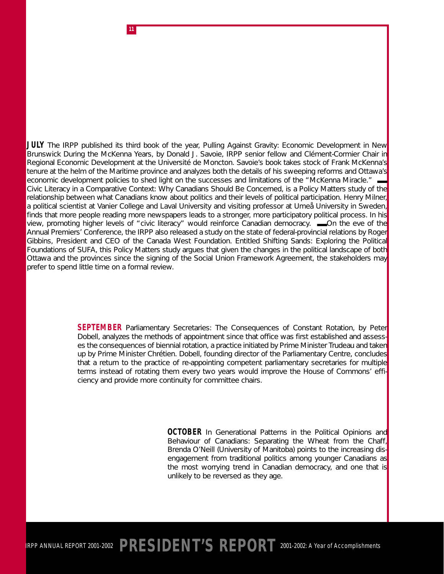**JULY** The IRPP published its third book of the year, *Pulling Against Gravity: Economic Development in New Brunswick During the McKenna Year*s, by Donald J. Savoie, IRPP senior fellow and Clément-Cormier Chair in Regional Economic Development at the Université de Moncton. Savoie's book takes stock of Frank McKenna's tenure at the helm of the Maritime province and analyzes both the details of his sweeping reforms and Ottawa's economic development policies to shed light on the successes and limitations of the "McKenna Miracle." *Civic Literacy in a Comparative Context: Why Canadians Should Be Concerned,* is a *Policy Matters* study of the relationship between what Canadians know about politics and their levels of political participation. Henry Milner, a political scientist at Vanier College and Laval University and visiting professor at Umeå University in Sweden, finds that more people reading more newspapers leads to a stronger, more participatory political process. In his view, promoting higher levels of "civic literacy" would reinforce Canadian democracy. ■■On the eve of the Annual Premiers' Conference, the IRPP also released a study on the state of federal-provincial relations by Roger Gibbins, President and CEO of the Canada West Foundation. Entitled *Shifting Sands: Exploring the Political Foundations of SUFA,* this *Policy Matters* study argues that given the changes in the political landscape of both Ottawa and the provinces since the signing of the Social Union Framework Agreement, the stakeholders may prefer to spend little time on a formal review.

**11**

**SEPTEMBER** *Parliamentary Secretaries: The Consequences of Constant Rotation*, by Peter Dobell, analyzes the methods of appointment since that office was first established and assesses the consequences of biennial rotation, a practice initiated by Prime Minister Trudeau and taken up by Prime Minister Chrétien. Dobell, founding director of the Parliamentary Centre, concludes that a return to the practice of re-appointing competent parliamentary secretaries for multiple terms instead of rotating them every two years would improve the House of Commons' efficiency and provide more continuity for committee chairs.

> **OCTOBER** In *Generational Patterns in the Political Opinions and Behaviour of Canadians: Separating the Wheat from the Chaff*, Brenda O'Neill (University of Manitoba) points to the increasing disengagement from traditional politics among younger Canadians as the most worrying trend in Canadian democracy, and one that is unlikely to be reversed as they age.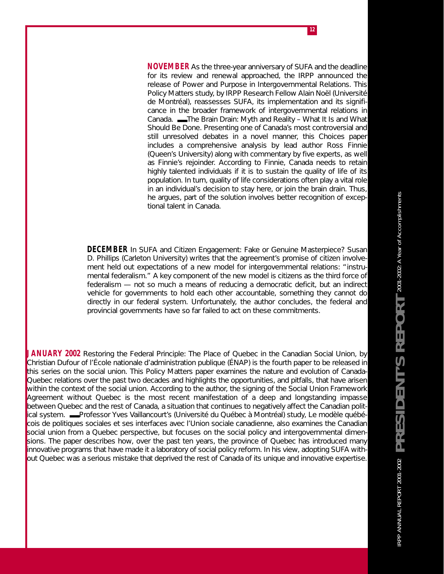**NOVEMBER** As the three-year anniversary of SUFA and the deadline for its review and renewal approached, the IRPP announced the release of *Power and Purpose in Intergovernmental Relations*. This *Policy Matters* study, by IRPP Research Fellow Alain Noël (Université de Montréal), reassesses SUFA, its implementation and its significance in the broader framework of intergovernmental relations in Canada. **■■**The Brain Drain: Myth and Reality – What It Is and What *Should Be Done.* Presenting one of Canada's most controversial and still unresolved debates in a novel manner, this *Choices* paper includes a comprehensive analysis by lead author Ross Finnie (Queen's University) along with commentary by five experts, as well as Finnie's rejoinder. According to Finnie, Canada needs to retain highly talented individuals if it is to sustain the quality of life of its population. In turn, quality of life considerations often play a vital role in an individual's decision to stay here, or join the brain drain. Thus, he argues, part of the solution involves better recognition of exceptional talent in Canada.

**DECEMBER** In *SUFA and Citizen Engagement: Fake or Genuine Masterpiece?* Susan D. Phillips (Carleton University) writes that the agreement's promise of citizen involvement held out expectations of a new model for intergovernmental relations: "instrumental federalism." A key component of the new model is citizens as the third force of federalism — not so much a means of reducing a democratic deficit, but an indirect vehicle for governments to hold each other accountable, something they cannot do directly in our federal system. Unfortunately, the author concludes, the federal and provincial governments have so far failed to act on these commitments.

**JANUARY 2002** *Restoring the Federal Principle: The Place of Quebec in the Canadian Social Union,* by Christian Dufour of l'École nationale d'administration publique (ÉNAP) is the fourth paper to be released in this series on the social union*.* This *Policy Matters* paper examines the nature and evolution of Canada-Quebec relations over the past two decades and highlights the opportunities, and pitfalls, that have arisen within the context of the social union. According to the author, the signing of the Social Union Framework Agreement without Quebec is the most recent manifestation of a deep and longstanding impasse between Quebec and the rest of Canada, a situation that continues to negatively affect the Canadian political system. ■■■■■Professor Yves Vaillancourt's (Université du Québec à Montréal) study, *Le modèle québécois de politiques sociales et ses interfaces avec l'Union sociale canadienne,* also examines the Canadian social union from a Quebec perspective, but focuses on the social policy and intergovernmental dimensions. The paper describes how, over the past ten years, the province of Quebec has introduced many innovative programs that have made it a laboratory of social policy reform. In his view, adopting SUFA without Quebec was a serious mistake that deprived the rest of Canada of its unique and innovative expertise.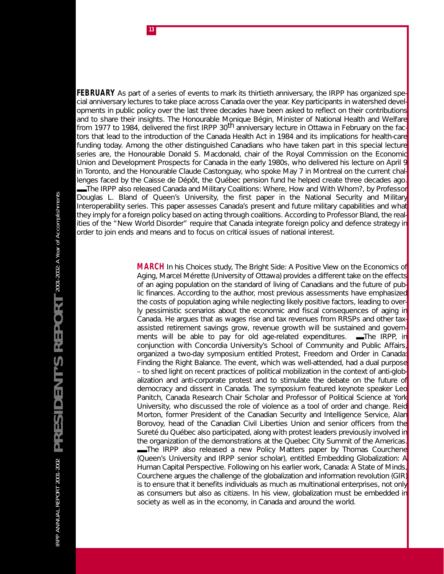**FEBRUARY** As part of a series of events to mark its thirtieth anniversary, the IRPP has organized special anniversary lectures to take place across Canada over the year. Key participants in watershed developments in public policy over the last three decades have been asked to reflect on their contributions and to share their insights. The Honourable Monique Bégin, Minister of National Health and Welfare from 1977 to 1984, delivered the first IRPP 30<sup>th</sup> anniversary lecture in Ottawa in February on the factors that lead to the introduction of the *Canada Health Act* in 1984 and its implications for health-care funding today. Among the other distinguished Canadians who have taken part in this special lecture series are, the Honourable Donald S. Macdonald, chair of the Royal Commission on the Economic Union and Development Prospects for Canada in the early 1980s, who delivered his lecture on April 9 in Toronto, and the Honourable Claude Castonguay, who spoke May 7 in Montreal on the current challenges faced by the Caisse de Dépôt, the Québec pension fund he helped create three decades ago. ■■■■■The IRPP also released *Canada and Military Coalitions: Where, How and With Whom?,* by Professor Douglas L. Bland of Queen's University, the first paper in the *National Security and Military Interoperability* series. This paper assesses Canada's present and future military capabilities and what they imply for a foreign policy based on acting through coalitions. According to Professor Bland, the realities of the "New World Disorder" require that Canada integrate foreign policy and defence strategy in order to join ends and means and to focus on critical issues of national interest.

> **MARCH** In his *Choices* study, *The Bright Side: A Positive View on the Economics of Aging*, Marcel Mérette (University of Ottawa) provides a different take on the effects of an aging population on the standard of living of Canadians and the future of public finances. According to the author, most previous assessments have emphasized the costs of population aging while neglecting likely positive factors, leading to overly pessimistic scenarios about the economic and fiscal consequences of aging in Canada. He argues that as wages rise and tax revenues from RRSPs and other taxassisted retirement savings grow, revenue growth will be sustained and governments will be able to pay for old age-related expenditures.  $\blacksquare$ The IRPP, in conjunction with Concordia University's School of Community and Public Affairs, organized a two-day symposium entitled *Protest, Freedom and Order in Canada: Finding the Right Balance.* The event, which was well-attended, had a dual purpose – to shed light on recent practices of political mobilization in the context of anti-globalization and anti-corporate protest and to stimulate the debate on the future of democracy and dissent in Canada. The symposium featured keynote speaker Leo Panitch, Canada Research Chair Scholar and Professor of Political Science at York University, who discussed the role of violence as a tool of order and change. Reid Morton, former President of the Canadian Security and Intelligence Service, Alan Borovoy, head of the Canadian Civil Liberties Union and senior officers from the Sureté du Québec also participated, along with protest leaders previously involved in the organization of the demonstrations at the Quebec City Summit of the Americas. **■**The IRPP also released a new *Policy Matters* paper by Thomas Courchene (Queen's University and IRPP senior scholar), entitled *Embedding Globalization: A Human Capital Perspective*. Following on his earlier work, *Canada: A State of Minds*, Courchene argues the challenge of the globalization and information revolution (GIR) is to ensure that it benefits individuals as much as multinational enterprises, not only as consumers but also as citizens. In his view, globalization must be embedded in society as well as in the economy, in Canada and around the world.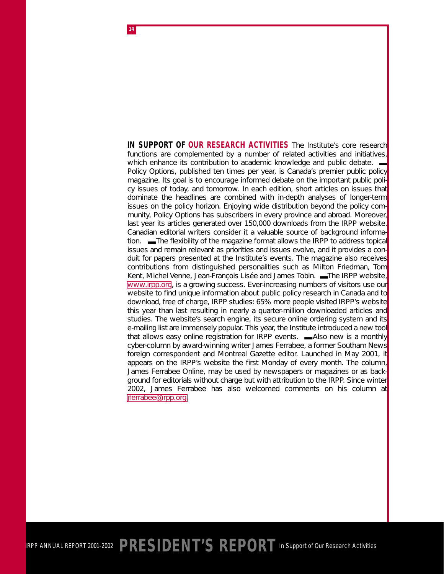**IN SUPPORT OF OUR RESEARCH ACTIVITIES** The Institute's core research functions are complemented by a number of related activities and initiatives, which enhance its contribution to academic knowledge and public debate. *Policy Options,* published ten times per year, is Canada's premier public policy magazine. Its goal is to encourage informed debate on the important public policy issues of today, and tomorrow. In each edition, short articles on issues that dominate the headlines are combined with in-depth analyses of longer-term issues on the policy horizon. Enjoying wide distribution beyond the policy community, *Policy Options* has subscribers in every province and abroad. Moreover, last year its articles generated over 150,000 downloads from the IRPP website. Canadian editorial writers consider it a valuable source of background information.  $\blacksquare$  The flexibility of the magazine format allows the IRPP to address topical issues and remain relevant as priorities and issues evolve, and it provides a conduit for papers presented at the Institute's events. The magazine also receives contributions from distinguished personalities such as Milton Friedman, Tom Kent, Michel Venne, Jean-François Lisée and James Tobin. -The IRPP website, [www.irpp.org,](http://www.irpp.org) is a growing success. Ever-increasing numbers of visitors use our website to find unique information about public policy research in Canada and to download, free of charge, IRPP studies: 65% more people visited IRPP's website this year than last resulting in nearly a *quarter-million* downloaded articles and studies. The website's search engine, its secure online ordering system and its e-mailing list are immensely popular. This year, the Institute introduced a new tool that allows easy online registration for IRPP events.  $\blacksquare$ Also new is a monthly cyber-column by award-winning writer James Ferrabee, a former *Southam News* foreign correspondent and *Montreal Gazette* editor. Launched in May 2001, it appears on the IRPP's website the first Monday of every month. The column, *James Ferrabee Online*, may be used by newspapers or magazines or as background for editorials without charge but with attribution to the IRPP. Since winter 2002, James Ferrabee has also welcomed comments on his column at [jferrabee@irpp.org.](http://www.irpp.org/indexe.htm)

**14**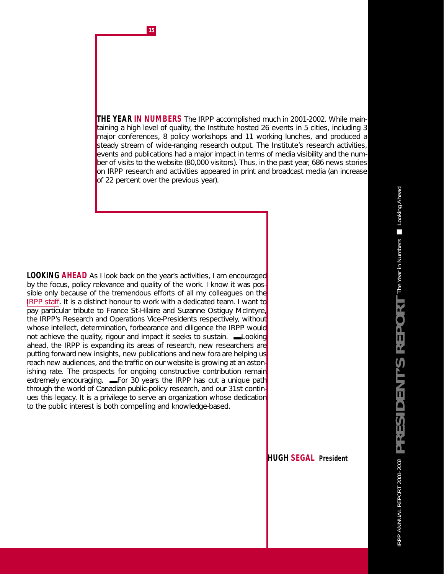**15**

**THE YEAR IN NUMBERS** The IRPP accomplished much in 2001-2002. While maintaining a high level of quality, the Institute hosted 26 events in 5 cities, including 3 major conferences, 8 policy workshops and 11 working lunches, and produced a steady stream of wide-ranging research output. The Institute's research activities, events and publications had a major impact in terms of media visibility and the number of visits to the website (80,000 visitors). Thus, in the past year, 686 news stories on IRPP research and activities appeared in print and broadcast media (an increase of 22 percent over the previous year).

**LOOKING AHEAD** As I look back on the year's activities, I am encouraged by the focus, policy relevance and quality of the work. I know it was possible only because of the tremendous efforts of all my colleagues on the IRPP staff. It is a distinct honour to work with a dedicated team. I want to pay particular tribute to France St-Hilaire and Suzanne Ostiguy McIntyre, the IRPP's Research and Operations Vice-Presidents respectively, without whose intellect, determination, forbearance and diligence the IRPP would not achieve the quality, rigour and impact it seeks to sustain.  $\blacksquare$ Looking ahead, the IRPP is expanding its areas of research, new researchers are putting forward new insights, new publications and new fora are helping us reach new audiences, and the traffic on our website is growing at an astonishing rate. The prospects for ongoing constructive contribution remain extremely encouraging. **■**For 30 years the IRPP has cut a unique path through the world of Canadian public-policy research, and our 31st continues this legacy. It is a privilege to serve an organization whose dedication to the public interest is both compelling and knowledge-based.

**HUGH SEGAL** *President*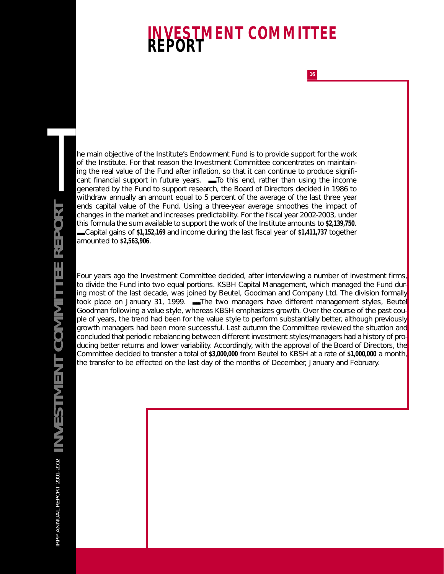# **INVESTMENT COMMITTEE REPORT**

**16**

he main objective of the Institute's Endowment Fund is to provide support for the work of the Institute. For that reason the Investment Committee concentrates on maintaining the real value of the Fund after inflation, so that it can continue to produce significant financial support in future years.  $\blacksquare$  To this end, rather than using the income generated by the Fund to support research, the Board of Directors decided in 1986 to withdraw annually an amount equal to 5 percent of the average of the last three year ends capital value of the Fund. Using a three-year average smoothes the impact of changes in the market and increases predictability. For the fiscal year 2002-2003, under this formula the sum available to support the work of the Institute amounts to **\$2,139,750**. ■■■■ Capital gains of **\$1,152,169** and income during the last fiscal year of **\$1,411,737** together amounted to **\$2,563,906**.

Four years ago the Investment Committee decided, after interviewing a number of investment firms, to divide the Fund into two equal portions. KSBH Capital Management, which managed the Fund during most of the last decade, was joined by Beutel, Goodman and Company Ltd. The division formally took place on January 31, 1999. —The two managers have different management styles, Beutel Goodman following a value style, whereas KBSH emphasizes growth. Over the course of the past couple of years, the trend had been for the value style to perform substantially better, although previously growth managers had been more successful. Last autumn the Committee reviewed the situation and concluded that periodic rebalancing between different investment styles/managers had a history of producing better returns and lower variability. Accordingly, with the approval of the Board of Directors, the Committee decided to transfer a total of **\$3,000,000** from Beutel to KBSH at a rate of **\$1,000,000** a month, the transfer to be effected on the last day of the months of December, January and February.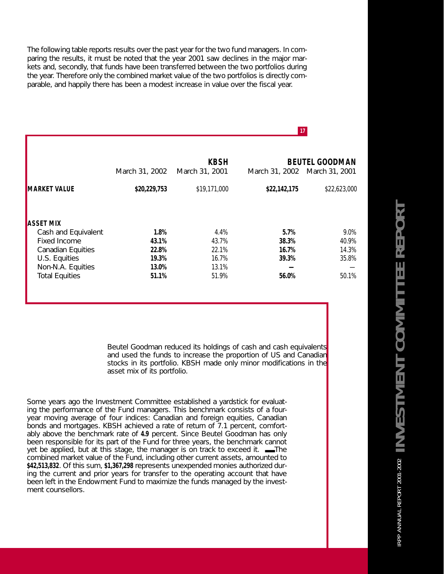The following table reports results over the past year for the two fund managers. In comparing the results, it must be noted that the year 2001 saw declines in the major markets and, secondly, that funds have been transferred between the two portfolios during the year. Therefore only the combined market value of the two portfolios is directly comparable, and happily there has been a modest increase in value over the fiscal year.

|                                                    | March 31, 2002          | <b>KBSH</b><br>March 31, 2001 | March 31, 2002 March 31, 2001 | <b>BEUTEL GOODMAN</b>   |
|----------------------------------------------------|-------------------------|-------------------------------|-------------------------------|-------------------------|
| <b>MARKET VALUE</b>                                | \$20,229,753            | \$19,171,000                  | \$22,142,175                  | \$22,623,000            |
| <b>ASSET MIX</b><br>Cash and Equivalent            | 1.8%                    | 4.4%                          | 5.7%                          | 9.0%                    |
| Fixed Income<br>Canadian Equities<br>U.S. Equities | 43.1%<br>22.8%<br>19.3% | 43.7%<br>22.1%<br>16.7%       | 38.3%<br>16.7%<br>39.3%       | 40.9%<br>14.3%<br>35.8% |
| Non-N.A. Equities<br><b>Total Equities</b>         | 13.0%<br>51.1%          | 13.1%<br>51.9%                | 56.0%                         | 50.1%                   |

**17**

Beutel Goodman reduced its holdings of cash and cash equivalents and used the funds to increase the proportion of US and Canadian stocks in its portfolio. KBSH made only minor modifications in the asset mix of its portfolio.

Some years ago the Investment Committee established a yardstick for evaluating the performance of the Fund managers. This benchmark consists of a fouryear moving average of four indices: Canadian and foreign equities, Canadian bonds and mortgages. KBSH achieved a rate of return of 7.1 percent, comfortably above the benchmark rate of **4.9** percent. Since Beutel Goodman has only been responsible for its part of the Fund for three years, the benchmark cannot yet be applied, but at this stage, the manager is on track to exceed it.  $\blacksquare$ The combined market value of the Fund, including other current assets, amounted to **\$42,513,832**. Of this sum, **\$1,367,298** represents unexpended monies authorized during the current and prior years for transfer to the operating account that have been left in the Endowment Fund to maximize the funds managed by the investment counsellors.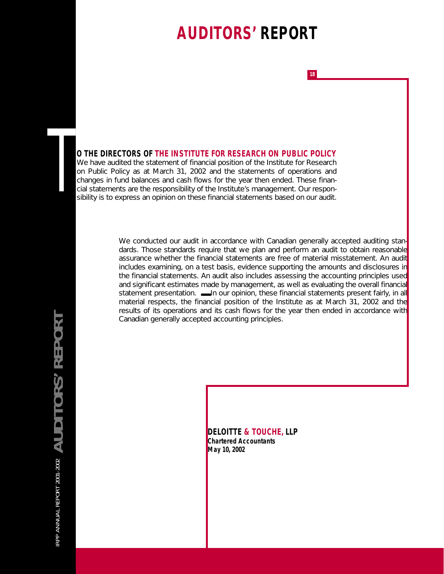# **AUDITORS' REPORT**

**18**

#### **O THE DIRECTORS OF THE INSTITUTE FOR RESEARCH ON PUBLIC POLICY**

We have audited the statement of financial position of the Institute for Research on Public Policy as at March 31, 2002 and the statements of operations and changes in fund balances and cash flows for the year then ended. These finan-**O THE DIRECTORS OF THE INSTITUTE FOR RESEARCH ON PUBLIC POLICY**<br>We have audited the statement of financial position of the Institute for Research<br>on Public Policy as at March 31, 2002 and the statements of operations and<br> sibility is to express an opinion on these financial statements based on our audit.

> We conducted our audit in accordance with Canadian generally accepted auditing standards. Those standards require that we plan and perform an audit to obtain reasonable assurance whether the financial statements are free of material misstatement. An audit includes examining, on a test basis, evidence supporting the amounts and disclosures in the financial statements. An audit also includes assessing the accounting principles used and significant estimates made by management, as well as evaluating the overall financial statement presentation.  $\blacksquare$ In our opinion, these financial statements present fairly, in all material respects, the financial position of the Institute as at March 31, 2002 and the results of its operations and its cash flows for the year then ended in accordance with Canadian generally accepted accounting principles.

IRPP ANNUAL REPORT 2001-2002 **AUDITORS' REPORT** IRPP ANNUAL REPORT 2001-2002  $\mathbb A$  UDITORS' REPORT

**DELOITTE & TOUCHE, LLP** *Chartered Accountants May 10, 2002*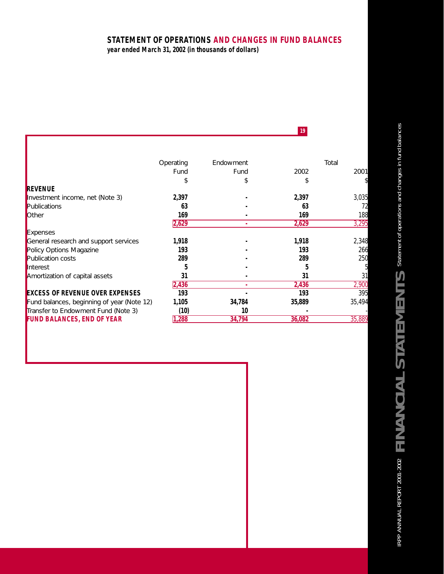### **STATEMENT OF OPERATIONS AND CHANGES IN FUND BALANCES**

**19**

*year ended March 31, 2002 (in thousands of dollars)*

ı

|                                            | Operating | Endowment |        | Total  |
|--------------------------------------------|-----------|-----------|--------|--------|
|                                            | Fund      | Fund      | 2002   | 2001   |
|                                            |           |           |        |        |
| REVENUE                                    |           |           |        |        |
| Investment income, net (Note 3)            | 2,397     |           | 2,397  | 3,035  |
| Publications                               | 63        |           | 63     | 72     |
| <b>Other</b>                               | 169       |           | 169    | 188    |
|                                            | 2,629     |           | 2,629  | 3,295  |
| Expenses                                   |           |           |        |        |
| General research and support services      | 1.918     |           | 1,918  | 2,348  |
| <b>Policy Options Magazine</b>             | 193       |           | 193    | 266    |
| Publication costs                          | 289       |           | 289    | 250    |
| Interest                                   |           |           |        |        |
| Amortization of capital assets             | 31        |           | 31     | 31     |
|                                            | 2,436     | ۰         | 2,436  | 2,900  |
| <b>EXCESS OF REVENUE OVER EXPENSES</b>     | 193       |           | 193    | 395    |
| Fund balances, beginning of year (Note 12) | 1,105     | 34,784    | 35,889 | 35,494 |
| Transfer to Endowment Fund (Note 3)        | (10)      | 10        |        |        |
| <b>FUND BALANCES, END OF YEAR</b>          | 1,288     | 34,794    | 36,082 | 35,889 |

IRPP ANNUAL REPORT 2001-2002  $\mathsf{FINAND}$  in  $\mathsf{MCLAL}$  statement of operations and changes in fund balances IRPP ANNUAL REPORT 2001-2002 **FINANCIAL STATEMENTS** *Statement of operations and changes in fund balances*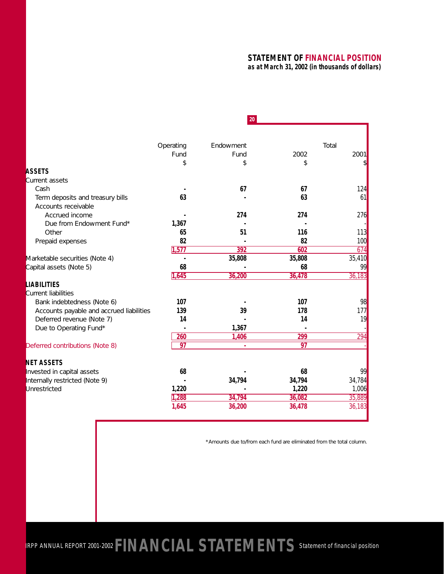#### **STATEMENT OF FINANCIAL POSITION** *as at March 31, 2002 (in thousands of dollars)*

|                                          |           | 20 <sub>2</sub> |        |        |
|------------------------------------------|-----------|-----------------|--------|--------|
|                                          |           |                 |        |        |
|                                          | Operating | Endowment       |        | Total  |
|                                          | Fund      | Fund            | 2002   | 2001   |
|                                          | \$        | \$              | \$     | \$     |
| <b>ASSETS</b>                            |           |                 |        |        |
| Current assets                           |           |                 |        |        |
| Cash                                     |           | 67              | 67     | 124    |
| Term deposits and treasury bills         | 63        |                 | 63     | 61     |
| Accounts receivable                      |           |                 |        |        |
| Accrued income                           |           | 274             | 274    | 276    |
| Due from Endowment Fund*                 | 1,367     |                 |        |        |
| Other                                    | 65        | 51              | 116    | 113    |
| Prepaid expenses                         | 82        |                 | 82     | 100    |
|                                          | 1,577     | 392             | 602    | 674    |
| Marketable securities (Note 4)           |           | 35,808          | 35,808 | 35,410 |
| Capital assets (Note 5)                  | 68        |                 | 68     | 99     |
|                                          | 1,645     | 36,200          | 36,478 | 36,183 |
| LIABILITIES                              |           |                 |        |        |
| Current liabilities                      |           |                 |        |        |
| Bank indebtedness (Note 6)               | 107       |                 | 107    | 98     |
| Accounts payable and accrued liabilities | 139       | 39              | 178    | 177    |
| Deferred revenue (Note 7)                | 14        |                 | 14     | 19     |
| Due to Operating Fund*                   |           | 1,367           |        |        |
|                                          | 260       | 1,406           | 299    | 294    |
| Deferred contributions (Note 8)          | 97        | a.              | 97     |        |
| <b>NET ASSETS</b>                        |           |                 |        |        |
| nvested in capital assets                | 68        |                 | 68     | 99     |
| Internally restricted (Note 9)           |           | 34,794          | 34,794 | 34,784 |
| Unrestricted                             | 1,220     |                 | 1,220  | 1,006  |
|                                          | 1,288     | 34,794          | 36,082 | 35,889 |
|                                          | 1,645     | 36,200          | 36,478 | 36,183 |
|                                          |           |                 |        |        |

\*Amounts due to/from each fund are eliminated from the total column.

IRPP ANNUAL REPORT 2001-2002 **FINANCIAL STATEMENTS** *Statement of financial position*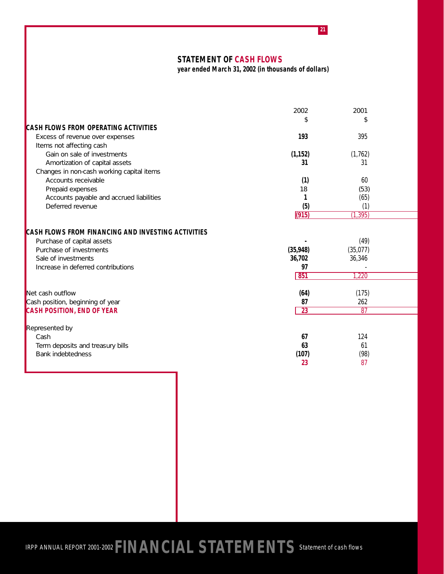**STATEMENT OF CASH FLOWS**

*year ended March 31, 2002 (in thousands of dollars)*

**21**

|                                                           | 2002            | 2001      |  |
|-----------------------------------------------------------|-----------------|-----------|--|
|                                                           | \$              | \$        |  |
| <b>CASH FLOWS FROM OPERATING ACTIVITIES</b>               |                 |           |  |
| Excess of revenue over expenses                           | 193             | 395       |  |
| Items not affecting cash                                  |                 |           |  |
| Gain on sale of investments                               | (1, 152)        | (1, 762)  |  |
| Amortization of capital assets                            | 31              | 31        |  |
| Changes in non-cash working capital items                 |                 |           |  |
| Accounts receivable                                       | (1)             | 60        |  |
| Prepaid expenses                                          | 18              | (53)      |  |
| Accounts payable and accrued liabilities                  |                 | (65)      |  |
| Deferred revenue                                          | (5)             | (1)       |  |
|                                                           | (915)           | (1, 395)  |  |
| <b>CASH FLOWS FROM FINANCING AND INVESTING ACTIVITIES</b> |                 |           |  |
| Purchase of capital assets                                |                 | (49)      |  |
| Purchase of investments                                   | (35, 948)       | (35, 077) |  |
| Sale of investments                                       | 36,702          | 36,346    |  |
| Increase in deferred contributions                        | 97              |           |  |
|                                                           | 851             | 1,220     |  |
| Net cash outflow                                          | (64)            | (175)     |  |
| Cash position, beginning of year                          | 87              | 262       |  |
| <b>CASH POSITION, END OF YEAR</b>                         | $\overline{23}$ | 87        |  |
|                                                           |                 |           |  |
| Represented by                                            |                 |           |  |
| Cash                                                      | 67              | 124       |  |
| Term deposits and treasury bills                          | 63              | 61        |  |
| Bank indebtedness                                         | (107)           | (98)      |  |
|                                                           | 23              | 87        |  |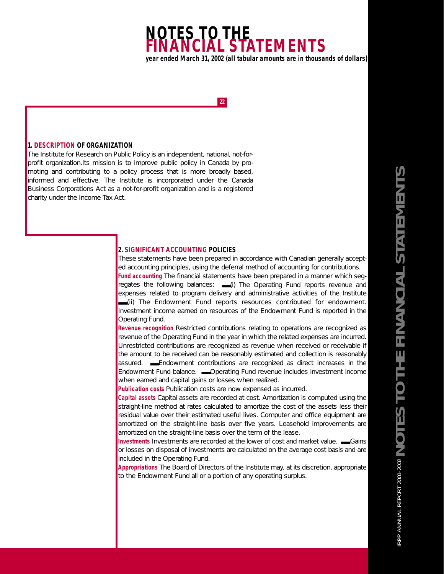# **NOTES TO THE FINANCIAL STATEMENTS** *year ended March 31, 2002 (all tabular amounts are in thousands of dollars)*

**22**

#### **1. DESCRIPTION OF ORGANIZATION**

The Institute for Research on Public Policy is an independent, national, not-forprofit organization.Its mission is to improve public policy in Canada by promoting and contributing to a policy process that is more broadly based, informed and effective. The Institute is incorporated under the Canada Business Corporations Act as a not-for-profit organization and is a registered charity under the Income Tax Act.

#### **2. SIGNIFICANT ACCOUNTING POLICIES**

These statements have been prepared in accordance with Canadian generally accepted accounting principles, using the deferral method of accounting for contributions.

*Fund accounting* The financial statements have been prepared in a manner which segregates the following balances: (iii) The Operating Fund reports revenue and expenses related to program delivery and administrative activities of the Institute (ii) The Endowment Fund reports resources contributed for endowment. Investment income earned on resources of the Endowment Fund is reported in the Operating Fund.

**Revenue recognition** Restricted contributions relating to operations are recognized as revenue of the Operating Fund in the year in which the related expenses are incurred. Unrestricted contributions are recognized as revenue when received or receivable if the amount to be received can be reasonably estimated and collection is reasonably assured. **■**Endowment contributions are recognized as direct increases in the Endowment Fund balance. **■■**Operating Fund revenue includes investment income when earned and capital gains or losses when realized.

**Publication costs** Publication costs are now expensed as incurred.

*Capital assets* Capital assets are recorded at cost. Amortization is computed using the straight-line method at rates calculated to amortize the cost of the assets less their residual value over their estimated useful lives. Computer and office equipment are amortized on the straight-line basis over five years. Leasehold improvements are amortized on the straight-line basis over the term of the lease.

**Investments** Investments are recorded at the lower of cost and market value.  $\blacksquare$  Gains or losses on disposal of investments are calculated on the average cost basis and are included in the Operating Fund.

*Appropriations* The Board of Directors of the Institute may, at its discretion, appropriate to the Endowment Fund all or a portion of any operating surplus.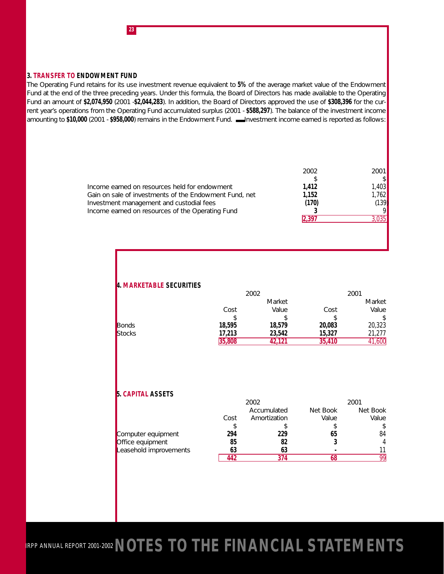#### **3. TRANSFER TO ENDOWMENT FUND**

**23**

The Operating Fund retains for its use investment revenue equivalent to **5%** of the average market value of the Endowment Fund at the end of the three preceding years. Under this formula, the Board of Directors has made available to the Operating Fund an amount of **\$2,074,950** (2001 -**\$2,044,283**). In addition, the Board of Directors approved the use of **\$308,396** for the current year's operations from the Operating Fund accumulated surplus (2001 - **\$588,297**). The balance of the investment income amounting to \$10,000 (2001 - \$958,000) remains in the Endowment Fund. **■**Investment income earned is reported as follows:

| 2002  | 2001   |
|-------|--------|
|       |        |
| 1,412 | 1.4031 |
| 1.152 | 1.762  |
| (170) | (139)  |
|       |        |
| 2 397 | .035   |
|       |        |
|       |        |

#### **4. MARKETABLE SECURITIES**

|               |        | 2002   |        | 2001   |
|---------------|--------|--------|--------|--------|
|               |        | Market |        | Market |
|               | Cost   | Value  | Cost   | Value  |
|               |        |        |        |        |
| Bonds         | 18,595 | 18,579 | 20,083 | 20,323 |
| <b>Stocks</b> | 17,213 | 23,542 | 15,327 | 21.277 |
|               | 35,808 | 42.121 | 35,410 | ,600   |

#### **5. CAPITAL ASSETS**

|                        | 2002 |              | 2001     |          |
|------------------------|------|--------------|----------|----------|
|                        |      | Accumulated  | Net Book | Net Book |
|                        | Cost | Amortization | Value    | Value    |
|                        |      |              |          | \$       |
| Computer equipment     | 294  | 229          | 65       | 84       |
| Office equipment       | 85   | 82           |          | 4        |
| Leasehold improvements | 63   | 63           |          |          |
|                        | 142  | 374          |          | QQ       |

IRPP ANNUAL REPORT 2001-2002 **NOTES TO THE FINANCIAL STATEMENTS**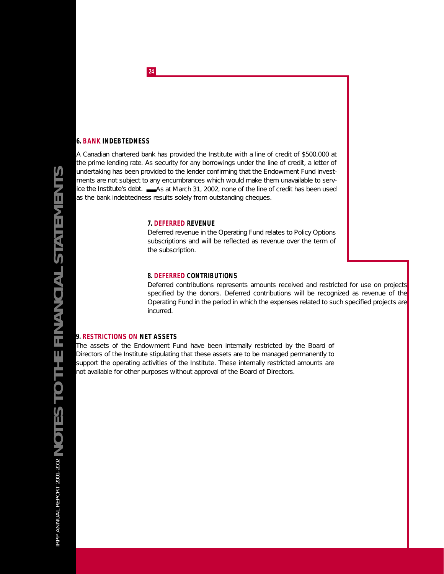#### **6. BANK INDEBTEDNESS**

A Canadian chartered bank has provided the Institute with a line of credit of \$500,000 at the prime lending rate. As security for any borrowings under the line of credit, a letter of undertaking has been provided to the lender confirming that the Endowment Fund investments are not subject to any encumbrances which would make them unavailable to service the Institute's debt. ■■■■■As at March 31, 2002, none of the line of credit has been used as the bank indebtedness results solely from outstanding cheques.

#### **7. DEFERRED REVENUE**

Deferred revenue in the Operating Fund relates to Policy Options subscriptions and will be reflected as revenue over the term of the subscription.

#### **8. DEFERRED CONTRIBUTIONS**

Deferred contributions represents amounts received and restricted for use on projects specified by the donors. Deferred contributions will be recognized as revenue of the Operating Fund in the period in which the expenses related to such specified projects are incurred.

#### **9. RESTRICTIONS ON NET ASSETS**

The assets of the Endowment Fund have been internally restricted by the Board of Directors of the Institute stipulating that these assets are to be managed permanently to support the operating activities of the Institute. These internally restricted amounts are not available for other purposes without approval of the Board of Directors.

**24**